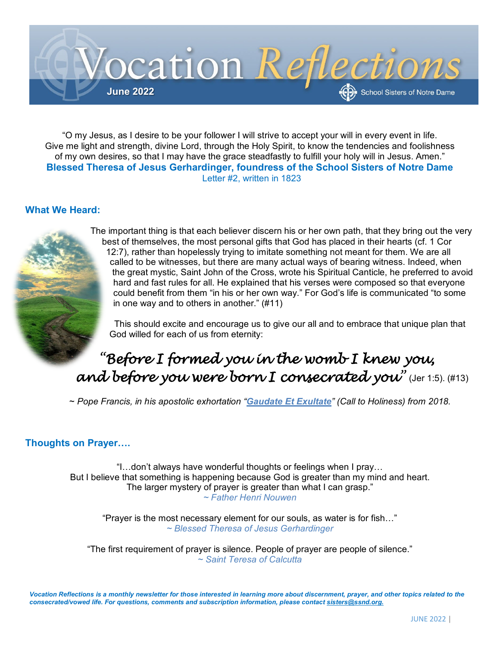

"O my Jesus, as I desire to be your follower I will strive to accept your will in every event in life. Give me light and strength, divine Lord, through the Holy Spirit, to know the tendencies and foolishness of my own desires, so that I may have the grace steadfastly to fulfill your holy will in Jesus. Amen." **Blessed Theresa of Jesus Gerhardinger, foundress of the School Sisters of Notre Dame** Letter #2, written in 1823

## **What We Heard:**



The important thing is that each believer discern his or her own path, that they bring out the very best of themselves, the most personal gifts that God has placed in their hearts (cf. 1 Cor 12:7), rather than hopelessly trying to imitate something not meant for them. We are all called to be witnesses, but there are many actual ways of bearing witness. Indeed, when the great mystic, Saint John of the Cross, wrote his Spiritual Canticle, he preferred to avoid hard and fast rules for all. He explained that his verses were composed so that everyone could benefit from them "in his or her own way." For God's life is communicated "to some in one way and to others in another." (#11)

This should excite and encourage us to give our all and to embrace that unique plan that God willed for each of us from eternity:

## *"Before I formed you in the womb I knew you, and before you were born I consecrated you"* (Jer 1:5). (#13)

~ *Pope Francis, in his apostolic exhortation "[Gaudate Et Exultate](http://w2.vatican.va/content/francesco/en/apost_exhortations/documents/papa-francesco_esortazione-ap_20180319_gaudete-et-exsultate.html)" (Call to Holiness) from 2018.*

## **Thoughts on Prayer….**

"I…don't always have wonderful thoughts or feelings when I pray… But I believe that something is happening because God is greater than my mind and heart. The larger mystery of prayer is greater than what I can grasp." *~ Father Henri Nouwen*

"Prayer is the most necessary element for our souls, as water is for fish…" *~ Blessed Theresa of Jesus Gerhardinger*

"The first requirement of prayer is silence. People of prayer are people of silence." *~ Saint Teresa of Calcutta*

*Vocation Reflections is a monthly newsletter for those interested in learning more about discernment, prayer, and other topics related to the consecrated/vowed life. For questions, comments and subscription information, please contac[t sisters@ssnd.org.](mailto:sisters@ssnd.org)*